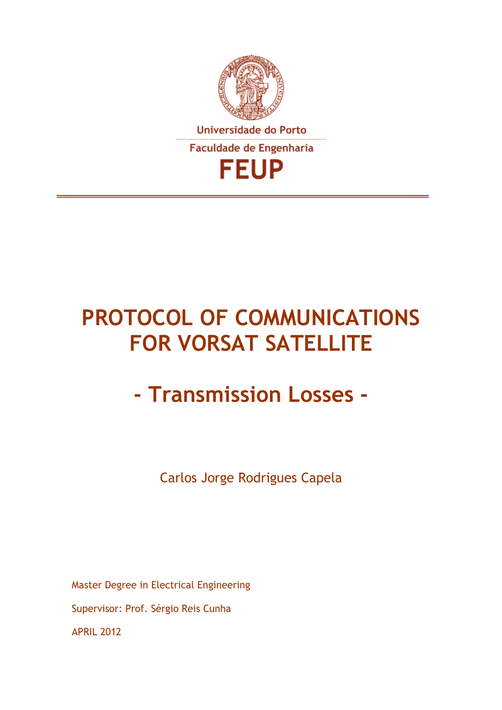

# **PROTOCOL OF COMMUNICATIONS FOR VORSAT SATELLITE**

# **- Transmission Losses -**

Carlos Jorge Rodrigues Capela

Master Degree in Electrical Engineering Supervisor: Prof. Sérgio Reis Cunha APRIL 2012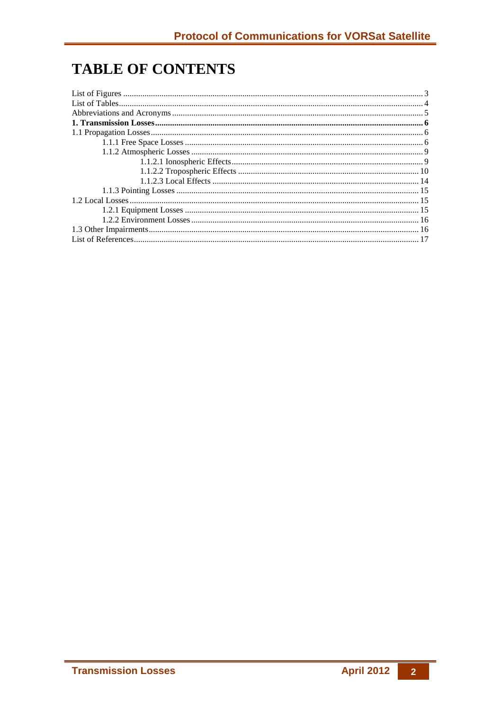# **TABLE OF CONTENTS**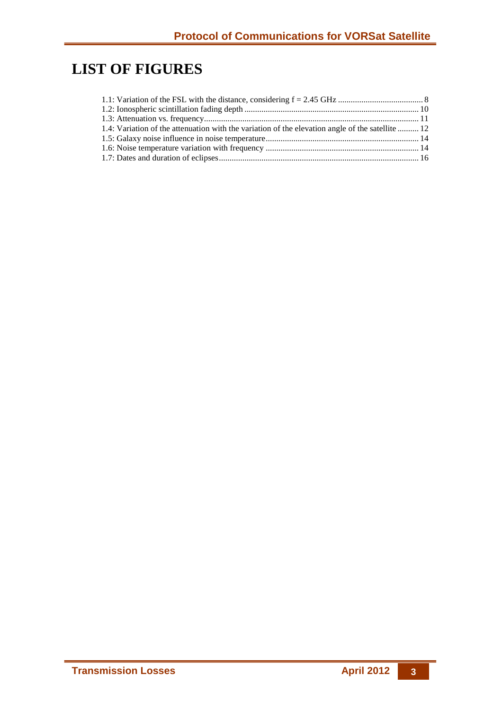# **LIST OF FIGURES**

| 1.4: Variation of the attenuation with the variation of the elevation angle of the satellite  12 |  |
|--------------------------------------------------------------------------------------------------|--|
|                                                                                                  |  |
|                                                                                                  |  |
|                                                                                                  |  |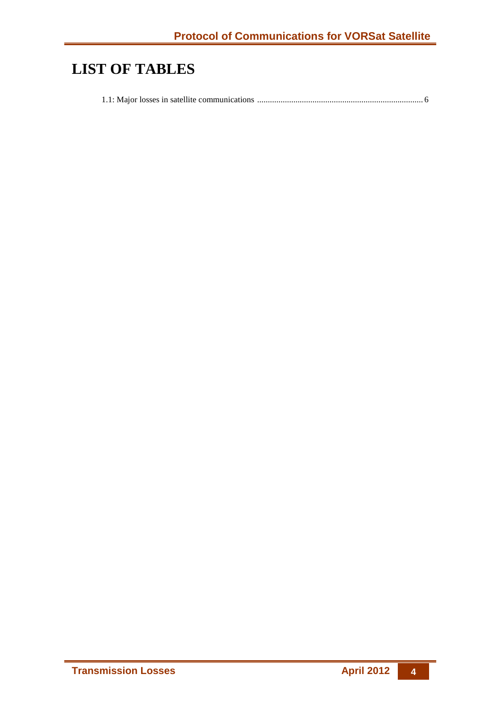# **LIST OF TABLES**

1.1: Major losses in satellite communications .............................................................................. 6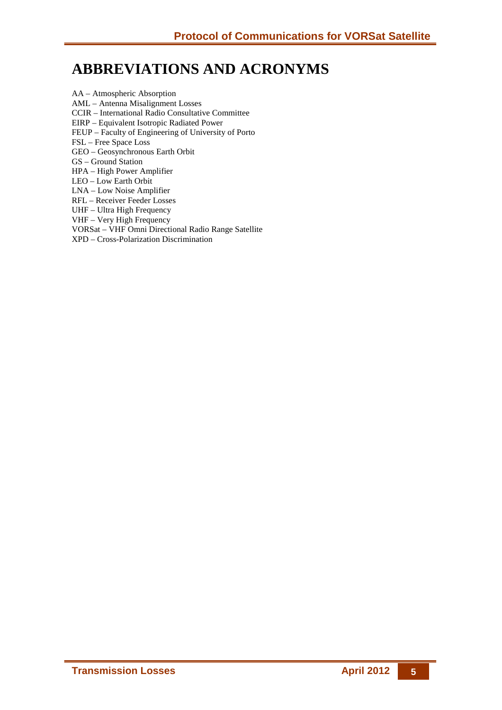# **ABBREVIATIONS AND ACRONYMS**

AA – Atmospheric Absorption AML – Antenna Misalignment Losses CCIR – International Radio Consultative Committee EIRP – Equivalent Isotropic Radiated Power FEUP – Faculty of Engineering of University of Porto FSL – Free Space Loss GEO – Geosynchronous Earth Orbit GS – Ground Station HPA – High Power Amplifier LEO – Low Earth Orbit LNA – Low Noise Amplifier RFL – Receiver Feeder Losses UHF – Ultra High Frequency VHF – Very High Frequency VORSat – VHF Omni Directional Radio Range Satellite

XPD – Cross-Polarization Discrimination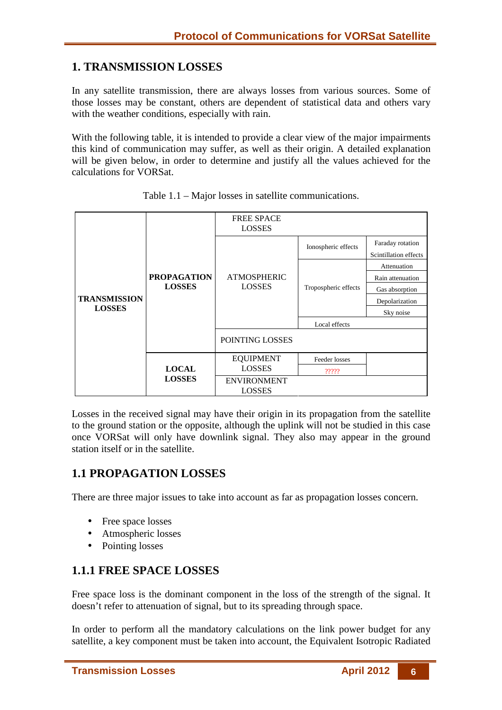## **1. TRANSMISSION LOSSES**

In any satellite transmission, there are always losses from various sources. Some of those losses may be constant, others are dependent of statistical data and others vary with the weather conditions, especially with rain.

With the following table, it is intended to provide a clear view of the major impairments this kind of communication may suffer, as well as their origin. A detailed explanation will be given below, in order to determine and justify all the values achieved for the calculations for VORSat.

|                                      |                                     | <b>FREE SPACE</b><br>LOSSES         |                      |                                           |
|--------------------------------------|-------------------------------------|-------------------------------------|----------------------|-------------------------------------------|
|                                      |                                     |                                     | Ionospheric effects  | Faraday rotation<br>Scintillation effects |
|                                      |                                     |                                     |                      | Attenuation                               |
| <b>TRANSMISSION</b><br><b>LOSSES</b> | <b>PROPAGATION</b><br><b>LOSSES</b> | <b>ATMOSPHERIC</b><br><b>LOSSES</b> | Tropospheric effects | Rain attenuation                          |
|                                      |                                     |                                     |                      | Gas absorption                            |
|                                      |                                     |                                     |                      | Depolarization                            |
|                                      |                                     |                                     |                      | Sky noise                                 |
|                                      |                                     |                                     | Local effects        |                                           |
|                                      |                                     | POINTING LOSSES                     |                      |                                           |
|                                      |                                     | <b>EQUIPMENT</b>                    | Feeder losses        |                                           |
|                                      | <b>LOCAL</b>                        | <b>LOSSES</b>                       | $??\,?\,?$           |                                           |
|                                      | <b>LOSSES</b>                       | <b>ENVIRONMENT</b><br><b>LOSSES</b> |                      |                                           |

Table 1.1 – Major losses in satellite communications.

Losses in the received signal may have their origin in its propagation from the satellite to the ground station or the opposite, although the uplink will not be studied in this case once VORSat will only have downlink signal. They also may appear in the ground station itself or in the satellite.

### **1.1 PROPAGATION LOSSES**

There are three major issues to take into account as far as propagation losses concern.

- Free space losses
- Atmospheric losses
- Pointing losses

# **1.1.1 FREE SPACE LOSSES**

Free space loss is the dominant component in the loss of the strength of the signal. It doesn't refer to attenuation of signal, but to its spreading through space.

In order to perform all the mandatory calculations on the link power budget for any satellite, a key component must be taken into account, the Equivalent Isotropic Radiated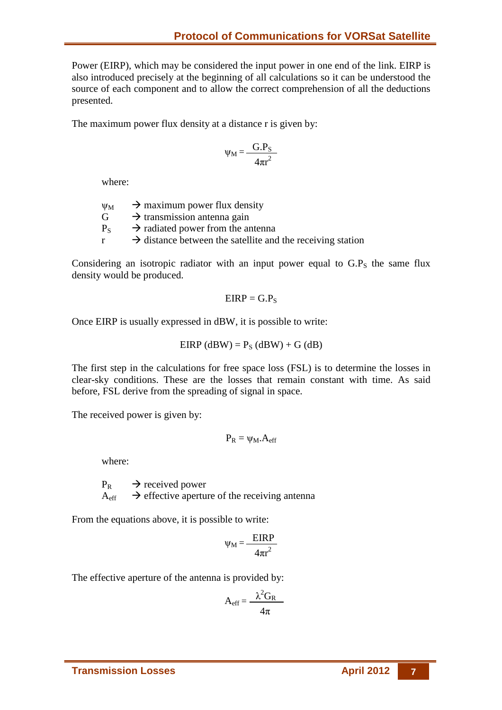Power (EIRP), which may be considered the input power in one end of the link. EIRP is also introduced precisely at the beginning of all calculations so it can be understood the source of each component and to allow the correct comprehension of all the deductions presented.

The maximum power flux density at a distance r is given by:

$$
\psi_{M} = \frac{G.P_{S}}{4\pi r^{2}}
$$

where:

 $\Psi_M$   $\rightarrow$  maximum power flux density  $G \rightarrow$  transmission antenna gain  $P_S \rightarrow$  radiated power from the antenna  $r \rightarrow$  distance between the satellite and the receiving station

Considering an isotropic radiator with an input power equal to  $G.P<sub>S</sub>$  the same flux density would be produced.

$$
EIRP=G.P_S
$$

Once EIRP is usually expressed in dBW, it is possible to write:

$$
EIRP (dBW) = P_S (dBW) + G (dB)
$$

The first step in the calculations for free space loss (FSL) is to determine the losses in clear-sky conditions. These are the losses that remain constant with time. As said before, FSL derive from the spreading of signal in space.

The received power is given by:

$$
P_R = \psi_M.A_{eff}
$$

where:

 $P_R \rightarrow$  received power  $A_{\text{eff}} \rightarrow$  effective aperture of the receiving antenna

From the equations above, it is possible to write:

$$
\Psi_{\rm M} = \frac{\rm EIRP}{4\pi r^2}
$$

The effective aperture of the antenna is provided by:

$$
A_{eff} = \frac{\lambda^2 G_R}{4\pi}
$$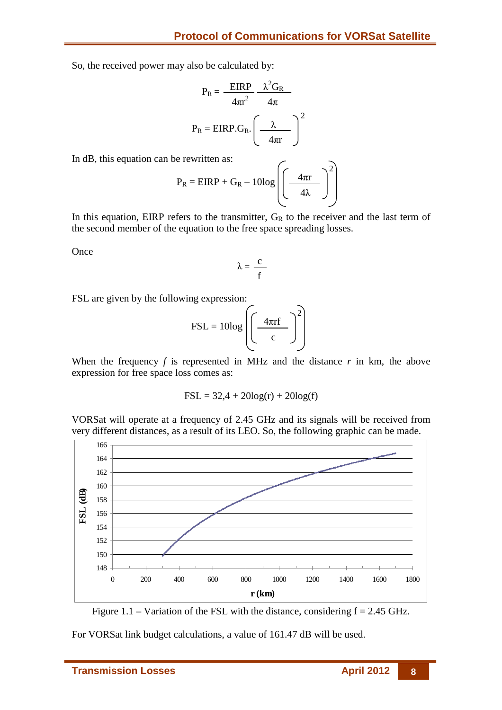So, the received power may also be calculated by:

$$
P_{R} = \frac{EIRP}{4\pi r^{2}} \frac{\lambda^{2} G_{R}}{4\pi}
$$

$$
P_{R} = EIRP.G_{R} \cdot \left(\frac{\lambda}{4\pi r}\right)^{2}
$$

In dB, this equation can be rewritten as:

$$
P_R = EIRP + G_R - 10log\left(\frac{4\pi r}{4\lambda}\right)^2
$$

In this equation, EIRP refers to the transmitter,  $G_R$  to the receiver and the last term of the second member of the equation to the free space spreading losses.

**Once** 

$$
\lambda = \frac{c}{f}
$$

FSL are given by the following expression:

$$
FSL = 10 \log \left( \left( \frac{4 \pi r f}{c} \right)^2 \right)
$$

When the frequency  $f$  is represented in MHz and the distance  $r$  in km, the above expression for free space loss comes as:

$$
FSL = 32.4 + 20\log(r) + 20\log(f)
$$

VORSat will operate at a frequency of 2.45 GHz and its signals will be received from very different distances, as a result of its LEO. So, the following graphic can be made.



Figure 1.1 – Variation of the FSL with the distance, considering  $f = 2.45$  GHz.

For VORSat link budget calculations, a value of 161.47 dB will be used.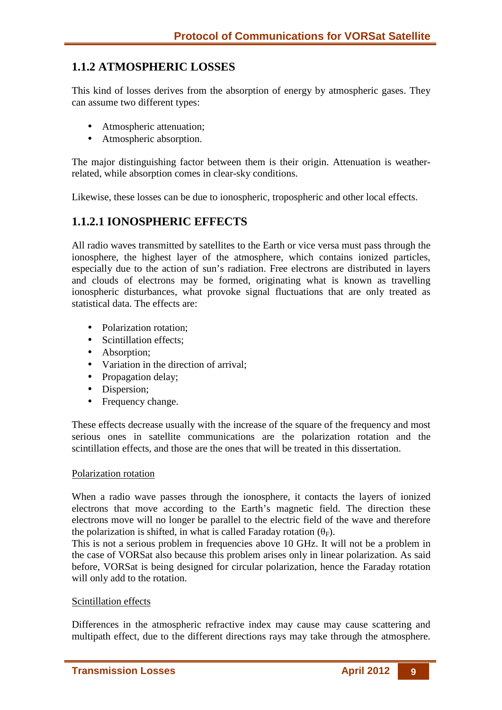# **1.1.2 ATMOSPHERIC LOSSES**

This kind of losses derives from the absorption of energy by atmospheric gases. They can assume two different types:

- Atmospheric attenuation;
- Atmospheric absorption.

The major distinguishing factor between them is their origin. Attenuation is weatherrelated, while absorption comes in clear-sky conditions.

Likewise, these losses can be due to ionospheric, tropospheric and other local effects.

## **1.1.2.1 IONOSPHERIC EFFECTS**

All radio waves transmitted by satellites to the Earth or vice versa must pass through the ionosphere, the highest layer of the atmosphere, which contains ionized particles, especially due to the action of sun's radiation. Free electrons are distributed in layers and clouds of electrons may be formed, originating what is known as travelling ionospheric disturbances, what provoke signal fluctuations that are only treated as statistical data. The effects are:

- Polarization rotation;
- Scintillation effects;
- Absorption;
- Variation in the direction of arrival;
- Propagation delay;
- Dispersion;
- Frequency change.

These effects decrease usually with the increase of the square of the frequency and most serious ones in satellite communications are the polarization rotation and the scintillation effects, and those are the ones that will be treated in this dissertation.

#### Polarization rotation

When a radio wave passes through the ionosphere, it contacts the layers of ionized electrons that move according to the Earth's magnetic field. The direction these electrons move will no longer be parallel to the electric field of the wave and therefore the polarization is shifted, in what is called Faraday rotation  $(\theta_F)$ .

This is not a serious problem in frequencies above 10 GHz. It will not be a problem in the case of VORSat also because this problem arises only in linear polarization. As said before, VORSat is being designed for circular polarization, hence the Faraday rotation will only add to the rotation.

#### Scintillation effects

Differences in the atmospheric refractive index may cause may cause scattering and multipath effect, due to the different directions rays may take through the atmosphere.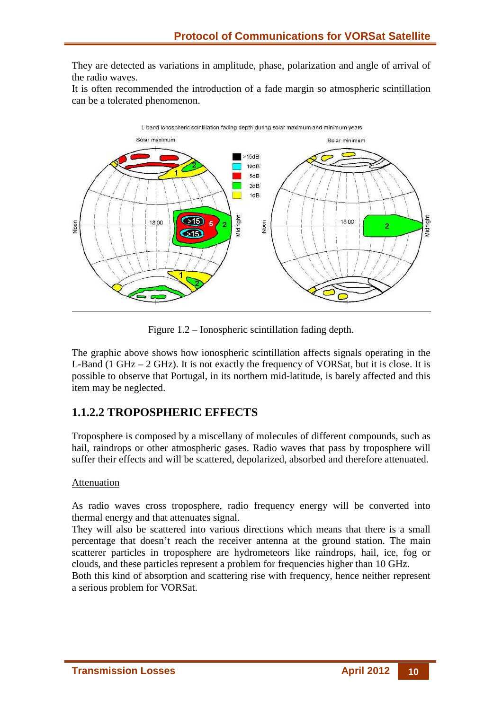They are detected as variations in amplitude, phase, polarization and angle of arrival of the radio waves.

It is often recommended the introduction of a fade margin so atmospheric scintillation can be a tolerated phenomenon.



Figure 1.2 – Ionospheric scintillation fading depth.

The graphic above shows how ionospheric scintillation affects signals operating in the L-Band (1 GHz  $-$  2 GHz). It is not exactly the frequency of VORSat, but it is close. It is possible to observe that Portugal, in its northern mid-latitude, is barely affected and this item may be neglected.

# **1.1.2.2 TROPOSPHERIC EFFECTS**

Troposphere is composed by a miscellany of molecules of different compounds, such as hail, raindrops or other atmospheric gases. Radio waves that pass by troposphere will suffer their effects and will be scattered, depolarized, absorbed and therefore attenuated.

#### Attenuation

As radio waves cross troposphere, radio frequency energy will be converted into thermal energy and that attenuates signal.

They will also be scattered into various directions which means that there is a small percentage that doesn't reach the receiver antenna at the ground station. The main scatterer particles in troposphere are hydrometeors like raindrops, hail, ice, fog or clouds, and these particles represent a problem for frequencies higher than 10 GHz.

Both this kind of absorption and scattering rise with frequency, hence neither represent a serious problem for VORSat.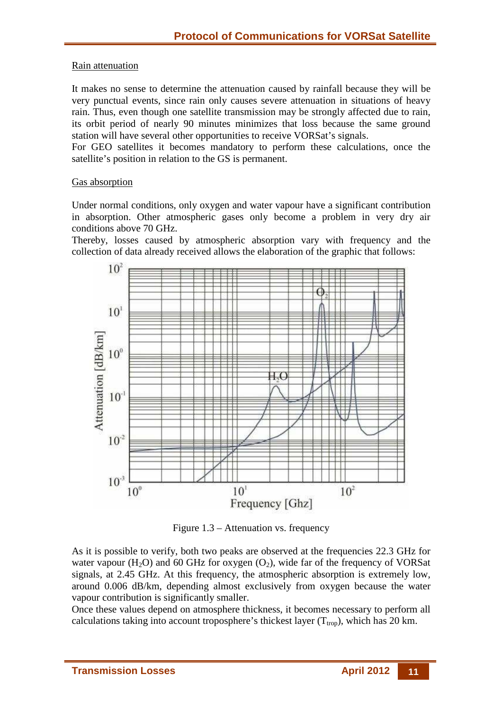#### Rain attenuation

It makes no sense to determine the attenuation caused by rainfall because they will be very punctual events, since rain only causes severe attenuation in situations of heavy rain. Thus, even though one satellite transmission may be strongly affected due to rain, its orbit period of nearly 90 minutes minimizes that loss because the same ground station will have several other opportunities to receive VORSat's signals.

For GEO satellites it becomes mandatory to perform these calculations, once the satellite's position in relation to the GS is permanent.

#### Gas absorption

Under normal conditions, only oxygen and water vapour have a significant contribution in absorption. Other atmospheric gases only become a problem in very dry air conditions above 70 GHz.

Thereby, losses caused by atmospheric absorption vary with frequency and the collection of data already received allows the elaboration of the graphic that follows:



Figure 1.3 – Attenuation vs. frequency

As it is possible to verify, both two peaks are observed at the frequencies 22.3 GHz for water vapour ( $H_2O$ ) and 60 GHz for oxygen ( $O_2$ ), wide far of the frequency of VORSat signals, at 2.45 GHz. At this frequency, the atmospheric absorption is extremely low, around 0.006 dB/km, depending almost exclusively from oxygen because the water vapour contribution is significantly smaller.

Once these values depend on atmosphere thickness, it becomes necessary to perform all calculations taking into account troposphere's thickest layer  $(T_{\text{trop}})$ , which has 20 km.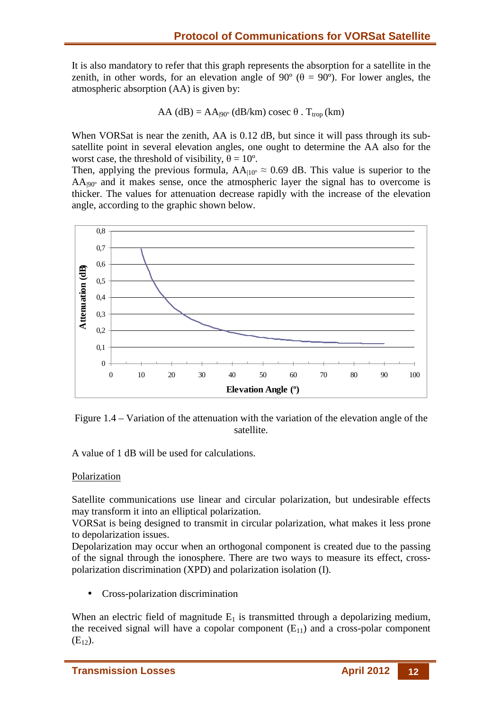It is also mandatory to refer that this graph represents the absorption for a satellite in the zenith, in other words, for an elevation angle of 90 $^{\circ}$  ( $\theta = 90^{\circ}$ ). For lower angles, the atmospheric absorption (AA) is given by:

$$
AA (dB) = AA|90° (dB/km) cosec θ . Ttrop (km)
$$

When VORSat is near the zenith, AA is 0.12 dB, but since it will pass through its subsatellite point in several elevation angles, one ought to determine the AA also for the worst case, the threshold of visibility,  $\theta = 10^{\circ}$ .

Then, applying the previous formula,  $AA_{10^{\circ}} \approx 0.69$  dB. This value is superior to the  $AA_{90^\circ}$  and it makes sense, once the atmospheric layer the signal has to overcome is thicker. The values for attenuation decrease rapidly with the increase of the elevation angle, according to the graphic shown below.



Figure 1.4 – Variation of the attenuation with the variation of the elevation angle of the satellite.

A value of 1 dB will be used for calculations.

#### Polarization

Satellite communications use linear and circular polarization, but undesirable effects may transform it into an elliptical polarization.

VORSat is being designed to transmit in circular polarization, what makes it less prone to depolarization issues.

Depolarization may occur when an orthogonal component is created due to the passing of the signal through the ionosphere. There are two ways to measure its effect, crosspolarization discrimination (XPD) and polarization isolation (I).

• Cross-polarization discrimination

When an electric field of magnitude  $E_1$  is transmitted through a depolarizing medium, the received signal will have a copolar component  $(E_{11})$  and a cross-polar component  $(E_{12})$ .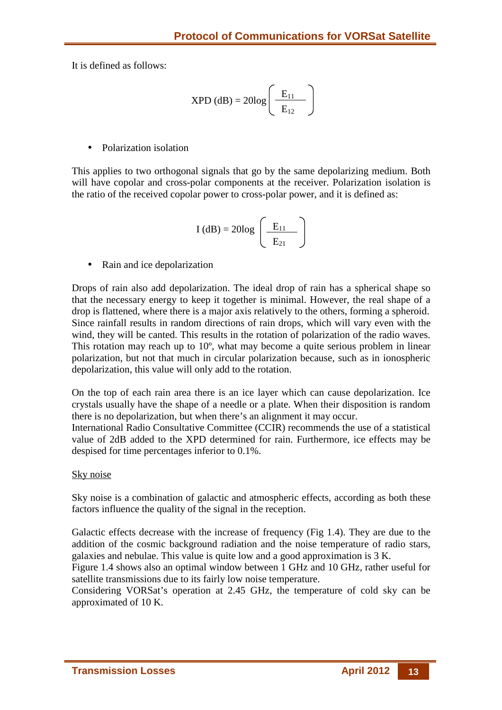It is defined as follows:

$$
XPD (dB) = 20log \left(\frac{E_{11}}{E_{12}}\right)
$$

• Polarization isolation

This applies to two orthogonal signals that go by the same depolarizing medium. Both will have copolar and cross-polar components at the receiver. Polarization isolation is the ratio of the received copolar power to cross-polar power, and it is defined as:

$$
I(dB) = 20log\left(\frac{E_{11}}{E_{21}}\right)
$$

• Rain and ice depolarization

Drops of rain also add depolarization. The ideal drop of rain has a spherical shape so that the necessary energy to keep it together is minimal. However, the real shape of a drop is flattened, where there is a major axis relatively to the others, forming a spheroid. Since rainfall results in random directions of rain drops, which will vary even with the wind, they will be canted. This results in the rotation of polarization of the radio waves. This rotation may reach up to 10º, what may become a quite serious problem in linear polarization, but not that much in circular polarization because, such as in ionospheric depolarization, this value will only add to the rotation.

On the top of each rain area there is an ice layer which can cause depolarization. Ice crystals usually have the shape of a needle or a plate. When their disposition is random there is no depolarization, but when there's an alignment it may occur.

International Radio Consultative Committee (CCIR) recommends the use of a statistical value of 2dB added to the XPD determined for rain. Furthermore, ice effects may be despised for time percentages inferior to 0.1%.

#### Sky noise

Sky noise is a combination of galactic and atmospheric effects, according as both these factors influence the quality of the signal in the reception.

Galactic effects decrease with the increase of frequency (Fig 1.4). They are due to the addition of the cosmic background radiation and the noise temperature of radio stars, galaxies and nebulae. This value is quite low and a good approximation is 3 K.

Figure 1.4 shows also an optimal window between 1 GHz and 10 GHz, rather useful for satellite transmissions due to its fairly low noise temperature.

Considering VORSat's operation at 2.45 GHz, the temperature of cold sky can be approximated of 10 K.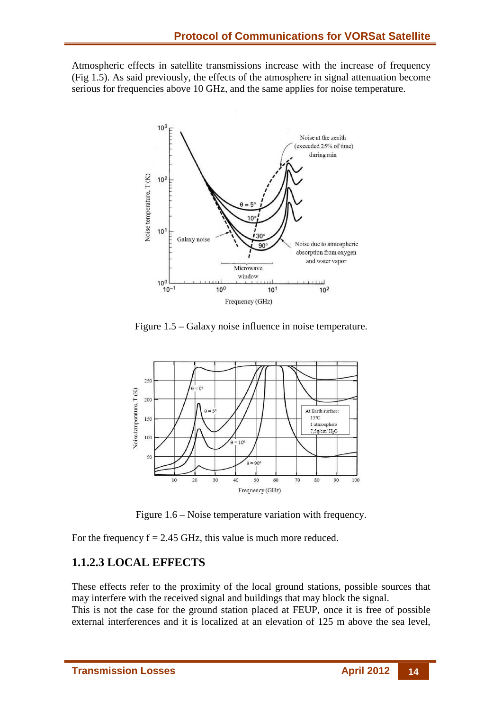Atmospheric effects in satellite transmissions increase with the increase of frequency (Fig 1.5). As said previously, the effects of the atmosphere in signal attenuation become serious for frequencies above 10 GHz, and the same applies for noise temperature.



Figure 1.5 – Galaxy noise influence in noise temperature.



Figure 1.6 – Noise temperature variation with frequency.

For the frequency  $f = 2.45$  GHz, this value is much more reduced.

# **1.1.2.3 LOCAL EFFECTS**

These effects refer to the proximity of the local ground stations, possible sources that may interfere with the received signal and buildings that may block the signal.

This is not the case for the ground station placed at FEUP, once it is free of possible external interferences and it is localized at an elevation of 125 m above the sea level,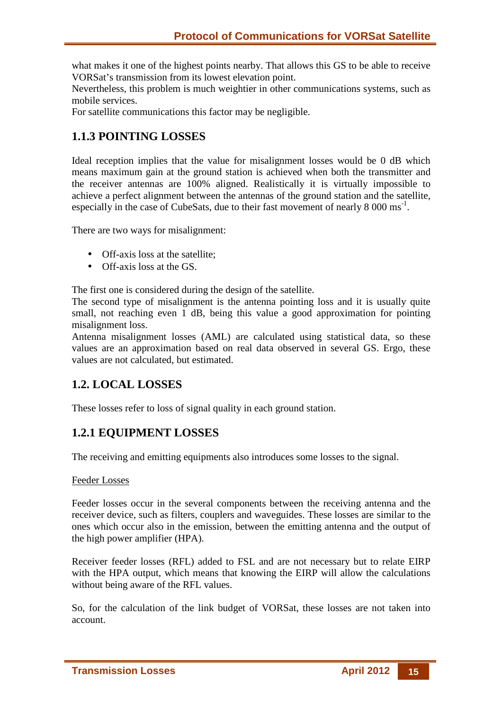what makes it one of the highest points nearby. That allows this GS to be able to receive VORSat's transmission from its lowest elevation point.

Nevertheless, this problem is much weightier in other communications systems, such as mobile services.

For satellite communications this factor may be negligible.

## **1.1.3 POINTING LOSSES**

Ideal reception implies that the value for misalignment losses would be 0 dB which means maximum gain at the ground station is achieved when both the transmitter and the receiver antennas are 100% aligned. Realistically it is virtually impossible to achieve a perfect alignment between the antennas of the ground station and the satellite, especially in the case of CubeSats, due to their fast movement of nearly  $8\,000 \text{ ms}^{-1}$ .

There are two ways for misalignment:

- Off-axis loss at the satellite;
- Off-axis loss at the GS.

The first one is considered during the design of the satellite.

The second type of misalignment is the antenna pointing loss and it is usually quite small, not reaching even 1 dB, being this value a good approximation for pointing misalignment loss.

Antenna misalignment losses (AML) are calculated using statistical data, so these values are an approximation based on real data observed in several GS. Ergo, these values are not calculated, but estimated.

### **1.2. LOCAL LOSSES**

These losses refer to loss of signal quality in each ground station.

# **1.2.1 EQUIPMENT LOSSES**

The receiving and emitting equipments also introduces some losses to the signal.

#### Feeder Losses

Feeder losses occur in the several components between the receiving antenna and the receiver device, such as filters, couplers and waveguides. These losses are similar to the ones which occur also in the emission, between the emitting antenna and the output of the high power amplifier (HPA).

Receiver feeder losses (RFL) added to FSL and are not necessary but to relate EIRP with the HPA output, which means that knowing the EIRP will allow the calculations without being aware of the RFL values.

So, for the calculation of the link budget of VORSat, these losses are not taken into account.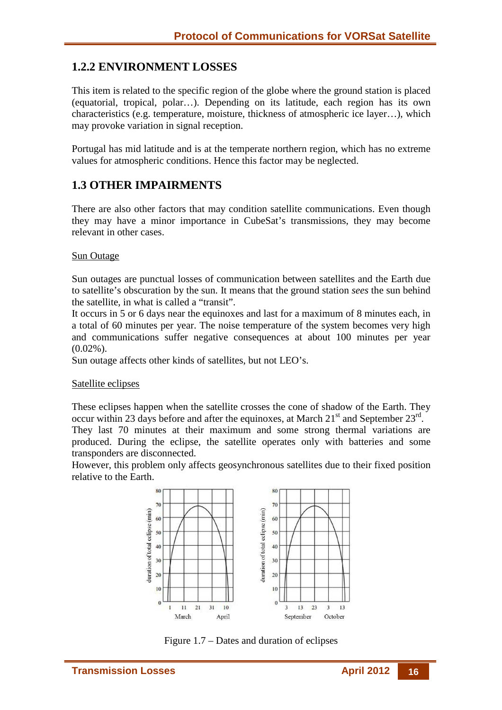# **1.2.2 ENVIRONMENT LOSSES**

This item is related to the specific region of the globe where the ground station is placed (equatorial, tropical, polar…). Depending on its latitude, each region has its own characteristics (e.g. temperature, moisture, thickness of atmospheric ice layer…), which may provoke variation in signal reception.

Portugal has mid latitude and is at the temperate northern region, which has no extreme values for atmospheric conditions. Hence this factor may be neglected.

### **1.3 OTHER IMPAIRMENTS**

There are also other factors that may condition satellite communications. Even though they may have a minor importance in CubeSat's transmissions, they may become relevant in other cases.

#### Sun Outage

Sun outages are punctual losses of communication between satellites and the Earth due to satellite's obscuration by the sun. It means that the ground station *sees* the sun behind the satellite, in what is called a "transit".

It occurs in 5 or 6 days near the equinoxes and last for a maximum of 8 minutes each, in a total of 60 minutes per year. The noise temperature of the system becomes very high and communications suffer negative consequences at about 100 minutes per year  $(0.02\%)$ .

Sun outage affects other kinds of satellites, but not LEO's.

#### Satellite eclipses

These eclipses happen when the satellite crosses the cone of shadow of the Earth. They occur within 23 days before and after the equinoxes, at March  $21<sup>st</sup>$  and September  $23<sup>rd</sup>$ .

They last 70 minutes at their maximum and some strong thermal variations are produced. During the eclipse, the satellite operates only with batteries and some transponders are disconnected.

However, this problem only affects geosynchronous satellites due to their fixed position relative to the Earth.



Figure 1.7 – Dates and duration of eclipses